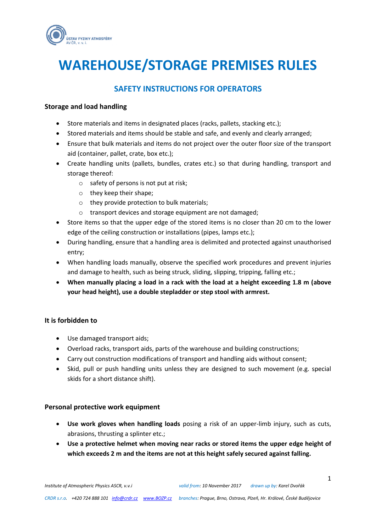

# **WAREHOUSE/STORAGE PREMISES RULES**

## **SAFETY INSTRUCTIONS FOR OPERATORS**

#### **Storage and load handling**

- Store materials and items in designated places (racks, pallets, stacking etc.);
- Stored materials and items should be stable and safe, and evenly and clearly arranged;
- Ensure that bulk materials and items do not project over the outer floor size of the transport aid (container, pallet, crate, box etc.);
- Create handling units (pallets, bundles, crates etc.) so that during handling, transport and storage thereof:
	- $\circ$  safety of persons is not put at risk;
	- o they keep their shape;
	- o they provide protection to bulk materials;
	- o transport devices and storage equipment are not damaged;
- Store items so that the upper edge of the stored items is no closer than 20 cm to the lower edge of the ceiling construction or installations (pipes, lamps etc.);
- During handling, ensure that a handling area is delimited and protected against unauthorised entry;
- When handling loads manually, observe the specified work procedures and prevent injuries and damage to health, such as being struck, sliding, slipping, tripping, falling etc.;
- **When manually placing a load in a rack with the load at a height exceeding 1.8 m (above your head height), use a double stepladder or step stool with armrest.**

### **It is forbidden to**

- Use damaged transport aids;
- Overload racks, transport aids, parts of the warehouse and building constructions;
- Carry out construction modifications of transport and handling aids without consent;
- Skid, pull or push handling units unless they are designed to such movement (e.g. special skids for a short distance shift).

#### **Personal protective work equipment**

- **Use work gloves when handling loads** posing a risk of an upper-limb injury, such as cuts, abrasions, thrusting a splinter etc.;
- **Use a protective helmet when moving near racks or stored items the upper edge height of which exceeds 2 m and the items are not at this height safely secured against falling.**